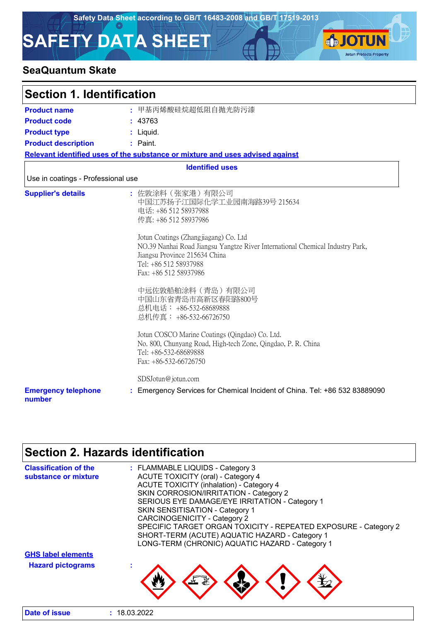**SJOTUN** 

**Jotun Protects Property** 

# **SAFETY DATA SHEET**

### **SeaQuantum Skate**

| <b>Section 1. Identification</b>     |                                                                                                                                                                                                                                                                                                                                                                                                                                                                                                                                                                                                     |  |
|--------------------------------------|-----------------------------------------------------------------------------------------------------------------------------------------------------------------------------------------------------------------------------------------------------------------------------------------------------------------------------------------------------------------------------------------------------------------------------------------------------------------------------------------------------------------------------------------------------------------------------------------------------|--|
| <b>Product name</b>                  | : 甲基丙烯酸硅烷超低阻自抛光防污漆                                                                                                                                                                                                                                                                                                                                                                                                                                                                                                                                                                                  |  |
| <b>Product code</b>                  | : 43763                                                                                                                                                                                                                                                                                                                                                                                                                                                                                                                                                                                             |  |
| <b>Product type</b>                  | Liquid.                                                                                                                                                                                                                                                                                                                                                                                                                                                                                                                                                                                             |  |
| <b>Product description</b>           | : Paint.                                                                                                                                                                                                                                                                                                                                                                                                                                                                                                                                                                                            |  |
|                                      | Relevant identified uses of the substance or mixture and uses advised against                                                                                                                                                                                                                                                                                                                                                                                                                                                                                                                       |  |
|                                      | <b>Identified uses</b>                                                                                                                                                                                                                                                                                                                                                                                                                                                                                                                                                                              |  |
| Use in coatings - Professional use   |                                                                                                                                                                                                                                                                                                                                                                                                                                                                                                                                                                                                     |  |
| <b>Supplier's details</b>            | : 佐敦涂料(张家港)有限公司<br>中国江苏扬子江国际化学工业园南海路39号 215634<br>电话: +86 512 58937988<br>传真: +86 512 58937986<br>Jotun Coatings (Zhangjiagang) Co. Ltd<br>NO.39 Nanhai Road Jiangsu Yangtze River International Chemical Industry Park,<br>Jiangsu Province 215634 China<br>Tel: +86 512 58937988<br>Fax: +86 512 58937986<br>中远佐敦船舶涂料(青岛)有限公司<br>中国山东省青岛市高新区春阳路800号<br>总机电话: +86-532-68689888<br>总机传真: +86-532-66726750<br>Jotun COSCO Marine Coatings (Qingdao) Co. Ltd.<br>No. 800, Chunyang Road, High-tech Zone, Qingdao, P. R. China<br>Tel: +86-532-68689888<br>Fax: +86-532-66726750<br>SDSJotun@jotun.com |  |
| <b>Emergency telephone</b><br>number | : Emergency Services for Chemical Incident of China. Tel: +86 532 83889090                                                                                                                                                                                                                                                                                                                                                                                                                                                                                                                          |  |

# **Section 2. Hazards identification**

| <b>Classification of the</b><br>substance or mixture | : FLAMMABLE LIQUIDS - Category 3<br><b>ACUTE TOXICITY (oral) - Category 4</b><br><b>ACUTE TOXICITY (inhalation) - Category 4</b><br>SKIN CORROSION/IRRITATION - Category 2 |
|------------------------------------------------------|----------------------------------------------------------------------------------------------------------------------------------------------------------------------------|
|                                                      | SERIOUS EYE DAMAGE/EYE IRRITATION - Category 1                                                                                                                             |
|                                                      | <b>SKIN SENSITISATION - Category 1</b><br><b>CARCINOGENICITY - Category 2</b>                                                                                              |
|                                                      | SPECIFIC TARGET ORGAN TOXICITY - REPEATED EXPOSURE - Category 2<br>SHORT-TERM (ACUTE) AQUATIC HAZARD - Category 1<br>LONG-TERM (CHRONIC) AQUATIC HAZARD - Category 1       |
| <b>GHS label elements</b>                            |                                                                                                                                                                            |
| <b>Hazard pictograms</b>                             |                                                                                                                                                                            |
| Date of issue                                        | 18.03.2022                                                                                                                                                                 |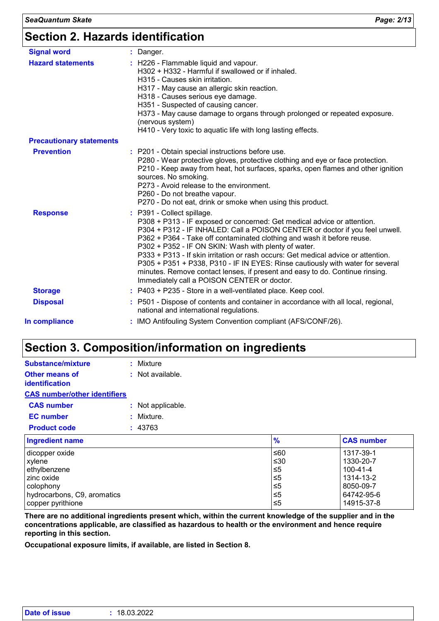| <b>Signal word</b>              | : Danger.                                                                                                                                                                                                                                                                                                                                                                                                                                                                                                                                                                                                                     |
|---------------------------------|-------------------------------------------------------------------------------------------------------------------------------------------------------------------------------------------------------------------------------------------------------------------------------------------------------------------------------------------------------------------------------------------------------------------------------------------------------------------------------------------------------------------------------------------------------------------------------------------------------------------------------|
| <b>Hazard statements</b>        | : H226 - Flammable liquid and vapour.<br>H302 + H332 - Harmful if swallowed or if inhaled.<br>H315 - Causes skin irritation.<br>H317 - May cause an allergic skin reaction.<br>H318 - Causes serious eye damage.<br>H351 - Suspected of causing cancer.<br>H373 - May cause damage to organs through prolonged or repeated exposure.<br>(nervous system)<br>H410 - Very toxic to aquatic life with long lasting effects.                                                                                                                                                                                                      |
| <b>Precautionary statements</b> |                                                                                                                                                                                                                                                                                                                                                                                                                                                                                                                                                                                                                               |
| <b>Prevention</b>               | : P201 - Obtain special instructions before use.<br>P280 - Wear protective gloves, protective clothing and eye or face protection.<br>P210 - Keep away from heat, hot surfaces, sparks, open flames and other ignition<br>sources. No smoking.<br>P273 - Avoid release to the environment.<br>P260 - Do not breathe vapour.<br>P270 - Do not eat, drink or smoke when using this product.                                                                                                                                                                                                                                     |
| <b>Response</b>                 | : P391 - Collect spillage.<br>P308 + P313 - IF exposed or concerned: Get medical advice or attention.<br>P304 + P312 - IF INHALED: Call a POISON CENTER or doctor if you feel unwell.<br>P362 + P364 - Take off contaminated clothing and wash it before reuse.<br>P302 + P352 - IF ON SKIN: Wash with plenty of water.<br>P333 + P313 - If skin irritation or rash occurs: Get medical advice or attention.<br>P305 + P351 + P338, P310 - IF IN EYES: Rinse cautiously with water for several<br>minutes. Remove contact lenses, if present and easy to do. Continue rinsing.<br>Immediately call a POISON CENTER or doctor. |
| <b>Storage</b>                  | : P403 + P235 - Store in a well-ventilated place. Keep cool.                                                                                                                                                                                                                                                                                                                                                                                                                                                                                                                                                                  |
| <b>Disposal</b>                 | : P501 - Dispose of contents and container in accordance with all local, regional,<br>national and international regulations.                                                                                                                                                                                                                                                                                                                                                                                                                                                                                                 |
| In compliance                   | : IMO Antifouling System Convention compliant (AFS/CONF/26).                                                                                                                                                                                                                                                                                                                                                                                                                                                                                                                                                                  |
|                                 |                                                                                                                                                                                                                                                                                                                                                                                                                                                                                                                                                                                                                               |

### **Section 3. Composition/information on ingredients**

| Substance/mixture                              | ٠. | Mixture           |
|------------------------------------------------|----|-------------------|
| <b>Other means of</b><br><b>identification</b> |    | : Not available.  |
| <b>CAS number/other identifiers</b>            |    |                   |
| <b>CAS number</b>                              |    | : Not applicable. |
| <b>EC</b> number                               |    | : Mixture.        |
| <b>Product code</b>                            |    | : 43763           |
| Ingradiant nama                                |    |                   |

| Ingredient name             | $\frac{9}{6}$ | <b>CAS number</b> |
|-----------------------------|---------------|-------------------|
| dicopper oxide              | l≤60          | 1317-39-1         |
| xylene                      | ≤30           | 1330-20-7         |
| ethylbenzene                | $\leq 5$      | 100-41-4          |
| l zinc oxide                | ≤5            | 1314-13-2         |
| l colophonv                 | 5≤ا           | 8050-09-7         |
| hydrocarbons, C9, aromatics | ≤5            | 64742-95-6        |
| copper pyrithione           | ≤5            | 14915-37-8        |

**There are no additional ingredients present which, within the current knowledge of the supplier and in the concentrations applicable, are classified as hazardous to health or the environment and hence require reporting in this section.**

**Occupational exposure limits, if available, are listed in Section 8.**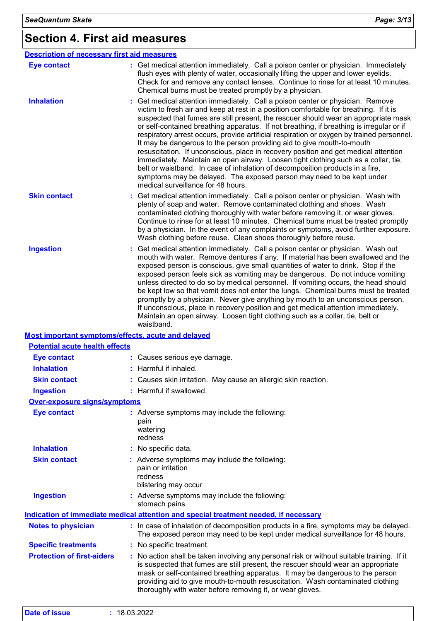# **Section 4. First aid measures**

| <b>Description of necessary first aid measures</b> |                                                                                                                                                                                                                                                                                                                                                                                                                                                                                                                                                                                                                                                                                                                                                                                                                                                                                                               |
|----------------------------------------------------|---------------------------------------------------------------------------------------------------------------------------------------------------------------------------------------------------------------------------------------------------------------------------------------------------------------------------------------------------------------------------------------------------------------------------------------------------------------------------------------------------------------------------------------------------------------------------------------------------------------------------------------------------------------------------------------------------------------------------------------------------------------------------------------------------------------------------------------------------------------------------------------------------------------|
| <b>Eye contact</b>                                 | : Get medical attention immediately. Call a poison center or physician. Immediately<br>flush eyes with plenty of water, occasionally lifting the upper and lower eyelids.<br>Check for and remove any contact lenses. Continue to rinse for at least 10 minutes.<br>Chemical burns must be treated promptly by a physician.                                                                                                                                                                                                                                                                                                                                                                                                                                                                                                                                                                                   |
| <b>Inhalation</b>                                  | Get medical attention immediately. Call a poison center or physician. Remove<br>victim to fresh air and keep at rest in a position comfortable for breathing. If it is<br>suspected that fumes are still present, the rescuer should wear an appropriate mask<br>or self-contained breathing apparatus. If not breathing, if breathing is irregular or if<br>respiratory arrest occurs, provide artificial respiration or oxygen by trained personnel.<br>It may be dangerous to the person providing aid to give mouth-to-mouth<br>resuscitation. If unconscious, place in recovery position and get medical attention<br>immediately. Maintain an open airway. Loosen tight clothing such as a collar, tie,<br>belt or waistband. In case of inhalation of decomposition products in a fire,<br>symptoms may be delayed. The exposed person may need to be kept under<br>medical surveillance for 48 hours. |
| <b>Skin contact</b>                                | : Get medical attention immediately. Call a poison center or physician. Wash with<br>plenty of soap and water. Remove contaminated clothing and shoes. Wash<br>contaminated clothing thoroughly with water before removing it, or wear gloves.<br>Continue to rinse for at least 10 minutes. Chemical burns must be treated promptly<br>by a physician. In the event of any complaints or symptoms, avoid further exposure.<br>Wash clothing before reuse. Clean shoes thoroughly before reuse.                                                                                                                                                                                                                                                                                                                                                                                                               |
| <b>Ingestion</b>                                   | Get medical attention immediately. Call a poison center or physician. Wash out<br>mouth with water. Remove dentures if any. If material has been swallowed and the<br>exposed person is conscious, give small quantities of water to drink. Stop if the<br>exposed person feels sick as vomiting may be dangerous. Do not induce vomiting<br>unless directed to do so by medical personnel. If vomiting occurs, the head should<br>be kept low so that vomit does not enter the lungs. Chemical burns must be treated<br>promptly by a physician. Never give anything by mouth to an unconscious person.<br>If unconscious, place in recovery position and get medical attention immediately.<br>Maintain an open airway. Loosen tight clothing such as a collar, tie, belt or<br>waistband.                                                                                                                  |
| Most important symptoms/effects, acute and delayed |                                                                                                                                                                                                                                                                                                                                                                                                                                                                                                                                                                                                                                                                                                                                                                                                                                                                                                               |
| <b>Potential acute health effects</b>              |                                                                                                                                                                                                                                                                                                                                                                                                                                                                                                                                                                                                                                                                                                                                                                                                                                                                                                               |
| <b>Eye contact</b>                                 | : Causes serious eye damage.                                                                                                                                                                                                                                                                                                                                                                                                                                                                                                                                                                                                                                                                                                                                                                                                                                                                                  |
| <b>Inhalation</b>                                  | : Harmful if inhaled.                                                                                                                                                                                                                                                                                                                                                                                                                                                                                                                                                                                                                                                                                                                                                                                                                                                                                         |
| <b>Skin contact</b>                                | : Causes skin irritation. May cause an allergic skin reaction.                                                                                                                                                                                                                                                                                                                                                                                                                                                                                                                                                                                                                                                                                                                                                                                                                                                |
| <b>Ingestion</b>                                   | : Harmful if swallowed.                                                                                                                                                                                                                                                                                                                                                                                                                                                                                                                                                                                                                                                                                                                                                                                                                                                                                       |
| Over-exposure signs/symptoms                       |                                                                                                                                                                                                                                                                                                                                                                                                                                                                                                                                                                                                                                                                                                                                                                                                                                                                                                               |
| <b>Eye contact</b>                                 | : Adverse symptoms may include the following:<br>pain<br>watering<br>redness                                                                                                                                                                                                                                                                                                                                                                                                                                                                                                                                                                                                                                                                                                                                                                                                                                  |
| <b>Inhalation</b>                                  | : No specific data.                                                                                                                                                                                                                                                                                                                                                                                                                                                                                                                                                                                                                                                                                                                                                                                                                                                                                           |
| <b>Skin contact</b>                                | : Adverse symptoms may include the following:<br>pain or irritation<br>redness<br>blistering may occur                                                                                                                                                                                                                                                                                                                                                                                                                                                                                                                                                                                                                                                                                                                                                                                                        |
| <b>Ingestion</b>                                   | Adverse symptoms may include the following:<br>stomach pains                                                                                                                                                                                                                                                                                                                                                                                                                                                                                                                                                                                                                                                                                                                                                                                                                                                  |
|                                                    | Indication of immediate medical attention and special treatment needed, if necessary                                                                                                                                                                                                                                                                                                                                                                                                                                                                                                                                                                                                                                                                                                                                                                                                                          |
| <b>Notes to physician</b>                          | : In case of inhalation of decomposition products in a fire, symptoms may be delayed.<br>The exposed person may need to be kept under medical surveillance for 48 hours.                                                                                                                                                                                                                                                                                                                                                                                                                                                                                                                                                                                                                                                                                                                                      |
| <b>Specific treatments</b>                         | : No specific treatment.                                                                                                                                                                                                                                                                                                                                                                                                                                                                                                                                                                                                                                                                                                                                                                                                                                                                                      |
| <b>Protection of first-aiders</b>                  | : No action shall be taken involving any personal risk or without suitable training. If it<br>is suspected that fumes are still present, the rescuer should wear an appropriate<br>mask or self-contained breathing apparatus. It may be dangerous to the person<br>providing aid to give mouth-to-mouth resuscitation. Wash contaminated clothing                                                                                                                                                                                                                                                                                                                                                                                                                                                                                                                                                            |

| Date of issue | : 18.03.2022 |  |  |  |
|---------------|--------------|--|--|--|
|---------------|--------------|--|--|--|

thoroughly with water before removing it, or wear gloves.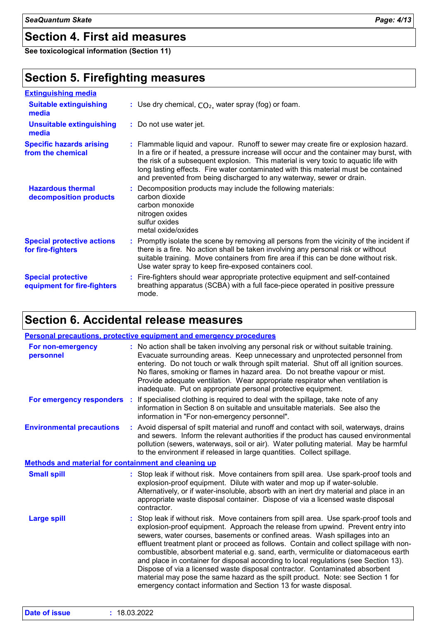### **Section 4. First aid measures**

**See toxicological information (Section 11)**

### **Section 5. Firefighting measures**

| <b>Extinguishing media</b>                               |                                                                                                                                                                                                                                                                                                                                                                                                                                       |
|----------------------------------------------------------|---------------------------------------------------------------------------------------------------------------------------------------------------------------------------------------------------------------------------------------------------------------------------------------------------------------------------------------------------------------------------------------------------------------------------------------|
| <b>Suitable extinguishing</b><br>media                   | : Use dry chemical, $CO2$ , water spray (fog) or foam.                                                                                                                                                                                                                                                                                                                                                                                |
| <b>Unsuitable extinguishing</b><br>media                 | : Do not use water jet.                                                                                                                                                                                                                                                                                                                                                                                                               |
| <b>Specific hazards arising</b><br>from the chemical     | : Flammable liquid and vapour. Runoff to sewer may create fire or explosion hazard.<br>In a fire or if heated, a pressure increase will occur and the container may burst, with<br>the risk of a subsequent explosion. This material is very toxic to aquatic life with<br>long lasting effects. Fire water contaminated with this material must be contained<br>and prevented from being discharged to any waterway, sewer or drain. |
| <b>Hazardous thermal</b><br>decomposition products       | : Decomposition products may include the following materials:<br>carbon dioxide<br>carbon monoxide<br>nitrogen oxides<br>sulfur oxides<br>metal oxide/oxides                                                                                                                                                                                                                                                                          |
| <b>Special protective actions</b><br>for fire-fighters   | : Promptly isolate the scene by removing all persons from the vicinity of the incident if<br>there is a fire. No action shall be taken involving any personal risk or without<br>suitable training. Move containers from fire area if this can be done without risk.<br>Use water spray to keep fire-exposed containers cool.                                                                                                         |
| <b>Special protective</b><br>equipment for fire-fighters | : Fire-fighters should wear appropriate protective equipment and self-contained<br>breathing apparatus (SCBA) with a full face-piece operated in positive pressure<br>mode.                                                                                                                                                                                                                                                           |

### **Section 6. Accidental release measures**

|                                                      | Personal precautions, protective equipment and emergency procedures                                                                                                                                                                                                                                                                                                                                                                                                                                                                                                                                                                                                                                                                                                     |
|------------------------------------------------------|-------------------------------------------------------------------------------------------------------------------------------------------------------------------------------------------------------------------------------------------------------------------------------------------------------------------------------------------------------------------------------------------------------------------------------------------------------------------------------------------------------------------------------------------------------------------------------------------------------------------------------------------------------------------------------------------------------------------------------------------------------------------------|
| For non-emergency<br>personnel                       | : No action shall be taken involving any personal risk or without suitable training.<br>Evacuate surrounding areas. Keep unnecessary and unprotected personnel from<br>entering. Do not touch or walk through spilt material. Shut off all ignition sources.<br>No flares, smoking or flames in hazard area. Do not breathe vapour or mist.<br>Provide adequate ventilation. Wear appropriate respirator when ventilation is<br>inadequate. Put on appropriate personal protective equipment.                                                                                                                                                                                                                                                                           |
| For emergency responders :                           | If specialised clothing is required to deal with the spillage, take note of any<br>information in Section 8 on suitable and unsuitable materials. See also the<br>information in "For non-emergency personnel".                                                                                                                                                                                                                                                                                                                                                                                                                                                                                                                                                         |
| <b>Environmental precautions</b>                     | : Avoid dispersal of spilt material and runoff and contact with soil, waterways, drains<br>and sewers. Inform the relevant authorities if the product has caused environmental<br>pollution (sewers, waterways, soil or air). Water polluting material. May be harmful<br>to the environment if released in large quantities. Collect spillage.                                                                                                                                                                                                                                                                                                                                                                                                                         |
| Methods and material for containment and cleaning up |                                                                                                                                                                                                                                                                                                                                                                                                                                                                                                                                                                                                                                                                                                                                                                         |
| <b>Small spill</b>                                   | : Stop leak if without risk. Move containers from spill area. Use spark-proof tools and<br>explosion-proof equipment. Dilute with water and mop up if water-soluble.<br>Alternatively, or if water-insoluble, absorb with an inert dry material and place in an<br>appropriate waste disposal container. Dispose of via a licensed waste disposal<br>contractor.                                                                                                                                                                                                                                                                                                                                                                                                        |
| <b>Large spill</b>                                   | : Stop leak if without risk. Move containers from spill area. Use spark-proof tools and<br>explosion-proof equipment. Approach the release from upwind. Prevent entry into<br>sewers, water courses, basements or confined areas. Wash spillages into an<br>effluent treatment plant or proceed as follows. Contain and collect spillage with non-<br>combustible, absorbent material e.g. sand, earth, vermiculite or diatomaceous earth<br>and place in container for disposal according to local regulations (see Section 13).<br>Dispose of via a licensed waste disposal contractor. Contaminated absorbent<br>material may pose the same hazard as the spilt product. Note: see Section 1 for<br>emergency contact information and Section 13 for waste disposal. |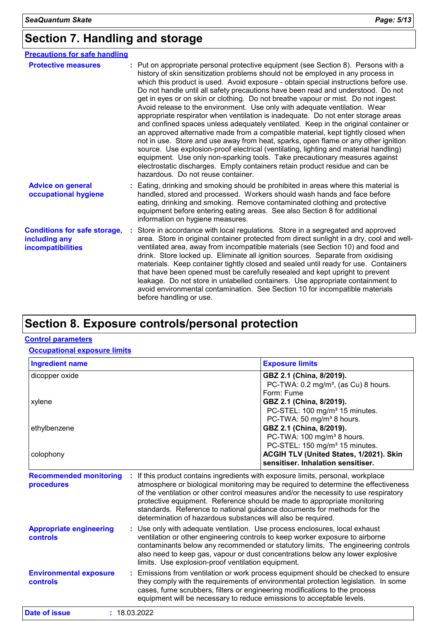# **Section 7. Handling and storage**

| <b>Precautions for safe handling</b>                                      |                                                                                                                                                                                                                                                                                                                                                                                                                                                                                                                                                                                                                                                                                                                                                                                                                                                                                                                                                                                                                                                                                                                                                                          |
|---------------------------------------------------------------------------|--------------------------------------------------------------------------------------------------------------------------------------------------------------------------------------------------------------------------------------------------------------------------------------------------------------------------------------------------------------------------------------------------------------------------------------------------------------------------------------------------------------------------------------------------------------------------------------------------------------------------------------------------------------------------------------------------------------------------------------------------------------------------------------------------------------------------------------------------------------------------------------------------------------------------------------------------------------------------------------------------------------------------------------------------------------------------------------------------------------------------------------------------------------------------|
| <b>Protective measures</b>                                                | : Put on appropriate personal protective equipment (see Section 8). Persons with a<br>history of skin sensitization problems should not be employed in any process in<br>which this product is used. Avoid exposure - obtain special instructions before use.<br>Do not handle until all safety precautions have been read and understood. Do not<br>get in eyes or on skin or clothing. Do not breathe vapour or mist. Do not ingest.<br>Avoid release to the environment. Use only with adequate ventilation. Wear<br>appropriate respirator when ventilation is inadequate. Do not enter storage areas<br>and confined spaces unless adequately ventilated. Keep in the original container or<br>an approved alternative made from a compatible material, kept tightly closed when<br>not in use. Store and use away from heat, sparks, open flame or any other ignition<br>source. Use explosion-proof electrical (ventilating, lighting and material handling)<br>equipment. Use only non-sparking tools. Take precautionary measures against<br>electrostatic discharges. Empty containers retain product residue and can be<br>hazardous. Do not reuse container. |
| <b>Advice on general</b><br>occupational hygiene                          | : Eating, drinking and smoking should be prohibited in areas where this material is<br>handled, stored and processed. Workers should wash hands and face before<br>eating, drinking and smoking. Remove contaminated clothing and protective<br>equipment before entering eating areas. See also Section 8 for additional<br>information on hygiene measures.                                                                                                                                                                                                                                                                                                                                                                                                                                                                                                                                                                                                                                                                                                                                                                                                            |
| <b>Conditions for safe storage,</b><br>including any<br>incompatibilities | Store in accordance with local regulations. Store in a segregated and approved<br>area. Store in original container protected from direct sunlight in a dry, cool and well-<br>ventilated area, away from incompatible materials (see Section 10) and food and<br>drink. Store locked up. Eliminate all ignition sources. Separate from oxidising<br>materials. Keep container tightly closed and sealed until ready for use. Containers<br>that have been opened must be carefully resealed and kept upright to prevent<br>leakage. Do not store in unlabelled containers. Use appropriate containment to<br>avoid environmental contamination. See Section 10 for incompatible materials<br>before handling or use.                                                                                                                                                                                                                                                                                                                                                                                                                                                    |

# **Section 8. Exposure controls/personal protection**

#### **Control parameters**

#### **Occupational exposure limits**

| <b>Ingredient name</b>                      |                                                                                                                                                                                                                                                                                                                                                                                                                                                                                     | <b>Exposure limits</b>                                                                                                                                                                                                                              |
|---------------------------------------------|-------------------------------------------------------------------------------------------------------------------------------------------------------------------------------------------------------------------------------------------------------------------------------------------------------------------------------------------------------------------------------------------------------------------------------------------------------------------------------------|-----------------------------------------------------------------------------------------------------------------------------------------------------------------------------------------------------------------------------------------------------|
| dicopper oxide                              |                                                                                                                                                                                                                                                                                                                                                                                                                                                                                     | GBZ 2.1 (China, 8/2019).<br>PC-TWA: 0.2 mg/m <sup>3</sup> , (as Cu) 8 hours.<br>Form: Fume                                                                                                                                                          |
| xylene                                      |                                                                                                                                                                                                                                                                                                                                                                                                                                                                                     | GBZ 2.1 (China, 8/2019).<br>PC-STEL: 100 mg/m <sup>3</sup> 15 minutes.<br>PC-TWA: 50 mg/m <sup>3</sup> 8 hours.                                                                                                                                     |
| ethylbenzene                                |                                                                                                                                                                                                                                                                                                                                                                                                                                                                                     | GBZ 2.1 (China, 8/2019).<br>PC-TWA: 100 mg/m <sup>3</sup> 8 hours.<br>PC-STEL: 150 mg/m <sup>3</sup> 15 minutes.                                                                                                                                    |
| colophony                                   |                                                                                                                                                                                                                                                                                                                                                                                                                                                                                     | ACGIH TLV (United States, 1/2021). Skin<br>sensitiser. Inhalation sensitiser.                                                                                                                                                                       |
| <b>Recommended monitoring</b><br>procedures | If this product contains ingredients with exposure limits, personal, workplace<br>atmosphere or biological monitoring may be required to determine the effectiveness<br>of the ventilation or other control measures and/or the necessity to use respiratory<br>protective equipment. Reference should be made to appropriate monitoring<br>standards. Reference to national guidance documents for methods for the<br>determination of hazardous substances will also be required. |                                                                                                                                                                                                                                                     |
| <b>Appropriate engineering</b><br>controls  | : Use only with adequate ventilation. Use process enclosures, local exhaust<br>limits. Use explosion-proof ventilation equipment.                                                                                                                                                                                                                                                                                                                                                   | ventilation or other engineering controls to keep worker exposure to airborne<br>contaminants below any recommended or statutory limits. The engineering controls<br>also need to keep gas, vapour or dust concentrations below any lower explosive |
| <b>Environmental exposure</b><br>controls   | cases, fume scrubbers, filters or engineering modifications to the process                                                                                                                                                                                                                                                                                                                                                                                                          | : Emissions from ventilation or work process equipment should be checked to ensure<br>they comply with the requirements of environmental protection legislation. In some                                                                            |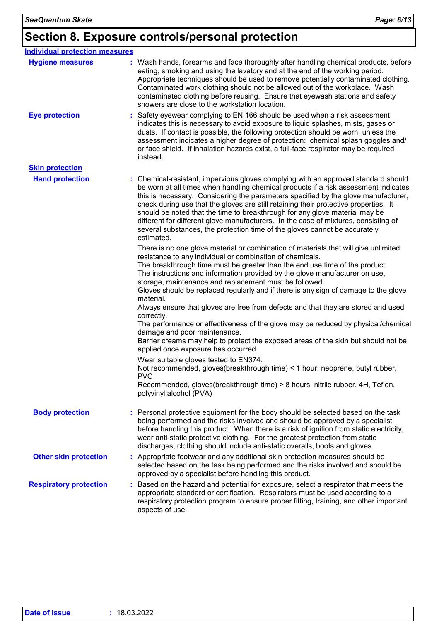### **Section 8. Exposure controls/personal protection**

| <b>Individual protection measures</b> |                                                                                                                                                                                                                                                                                                                                                                                                                                                                                                                                                                                                                                                                                                                                                                                                                                                                                                                                                                                                                                                                                       |
|---------------------------------------|---------------------------------------------------------------------------------------------------------------------------------------------------------------------------------------------------------------------------------------------------------------------------------------------------------------------------------------------------------------------------------------------------------------------------------------------------------------------------------------------------------------------------------------------------------------------------------------------------------------------------------------------------------------------------------------------------------------------------------------------------------------------------------------------------------------------------------------------------------------------------------------------------------------------------------------------------------------------------------------------------------------------------------------------------------------------------------------|
| <b>Hygiene measures</b>               | : Wash hands, forearms and face thoroughly after handling chemical products, before<br>eating, smoking and using the lavatory and at the end of the working period.<br>Appropriate techniques should be used to remove potentially contaminated clothing.<br>Contaminated work clothing should not be allowed out of the workplace. Wash<br>contaminated clothing before reusing. Ensure that eyewash stations and safety<br>showers are close to the workstation location.                                                                                                                                                                                                                                                                                                                                                                                                                                                                                                                                                                                                           |
| <b>Eye protection</b>                 | Safety eyewear complying to EN 166 should be used when a risk assessment<br>indicates this is necessary to avoid exposure to liquid splashes, mists, gases or<br>dusts. If contact is possible, the following protection should be worn, unless the<br>assessment indicates a higher degree of protection: chemical splash goggles and/<br>or face shield. If inhalation hazards exist, a full-face respirator may be required<br>instead.                                                                                                                                                                                                                                                                                                                                                                                                                                                                                                                                                                                                                                            |
| <b>Skin protection</b>                |                                                                                                                                                                                                                                                                                                                                                                                                                                                                                                                                                                                                                                                                                                                                                                                                                                                                                                                                                                                                                                                                                       |
| <b>Hand protection</b>                | : Chemical-resistant, impervious gloves complying with an approved standard should<br>be worn at all times when handling chemical products if a risk assessment indicates<br>this is necessary. Considering the parameters specified by the glove manufacturer,<br>check during use that the gloves are still retaining their protective properties. It<br>should be noted that the time to breakthrough for any glove material may be<br>different for different glove manufacturers. In the case of mixtures, consisting of<br>several substances, the protection time of the gloves cannot be accurately<br>estimated.                                                                                                                                                                                                                                                                                                                                                                                                                                                             |
|                                       | There is no one glove material or combination of materials that will give unlimited<br>resistance to any individual or combination of chemicals.<br>The breakthrough time must be greater than the end use time of the product.<br>The instructions and information provided by the glove manufacturer on use,<br>storage, maintenance and replacement must be followed.<br>Gloves should be replaced regularly and if there is any sign of damage to the glove<br>material.<br>Always ensure that gloves are free from defects and that they are stored and used<br>correctly.<br>The performance or effectiveness of the glove may be reduced by physical/chemical<br>damage and poor maintenance.<br>Barrier creams may help to protect the exposed areas of the skin but should not be<br>applied once exposure has occurred.<br>Wear suitable gloves tested to EN374.<br>Not recommended, gloves (breakthrough time) < 1 hour: neoprene, butyl rubber,<br><b>PVC</b><br>Recommended, gloves(breakthrough time) > 8 hours: nitrile rubber, 4H, Teflon,<br>polyvinyl alcohol (PVA) |
| <b>Body protection</b>                | : Personal protective equipment for the body should be selected based on the task                                                                                                                                                                                                                                                                                                                                                                                                                                                                                                                                                                                                                                                                                                                                                                                                                                                                                                                                                                                                     |
|                                       | being performed and the risks involved and should be approved by a specialist<br>before handling this product. When there is a risk of ignition from static electricity,<br>wear anti-static protective clothing. For the greatest protection from static<br>discharges, clothing should include anti-static overalls, boots and gloves.                                                                                                                                                                                                                                                                                                                                                                                                                                                                                                                                                                                                                                                                                                                                              |
| <b>Other skin protection</b>          | : Appropriate footwear and any additional skin protection measures should be<br>selected based on the task being performed and the risks involved and should be<br>approved by a specialist before handling this product.                                                                                                                                                                                                                                                                                                                                                                                                                                                                                                                                                                                                                                                                                                                                                                                                                                                             |
| <b>Respiratory protection</b>         | Based on the hazard and potential for exposure, select a respirator that meets the<br>appropriate standard or certification. Respirators must be used according to a<br>respiratory protection program to ensure proper fitting, training, and other important<br>aspects of use.                                                                                                                                                                                                                                                                                                                                                                                                                                                                                                                                                                                                                                                                                                                                                                                                     |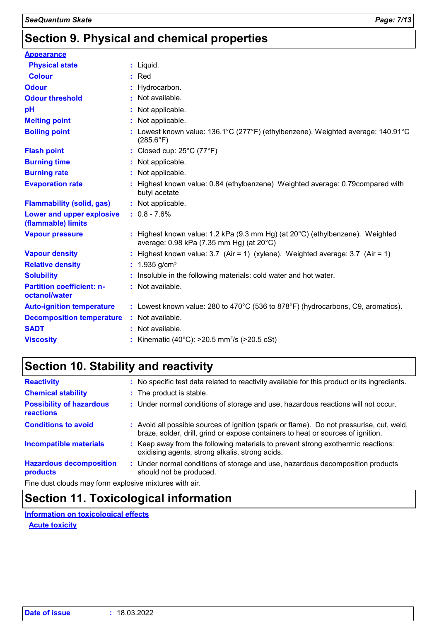# **Section 9. Physical and chemical properties**

| <b>Appearance</b>                                 |                                                                                                                                     |
|---------------------------------------------------|-------------------------------------------------------------------------------------------------------------------------------------|
| <b>Physical state</b>                             | $:$ Liquid.                                                                                                                         |
| <b>Colour</b>                                     | $:$ Red                                                                                                                             |
| <b>Odour</b>                                      | : Hydrocarbon.                                                                                                                      |
| <b>Odour threshold</b>                            | : Not available.                                                                                                                    |
| pH                                                | : Not applicable.                                                                                                                   |
| <b>Melting point</b>                              | : Not applicable.                                                                                                                   |
| <b>Boiling point</b>                              | : Lowest known value: 136.1°C (277°F) (ethylbenzene). Weighted average: 140.91°C<br>$(285.6^{\circ}F)$                              |
| <b>Flash point</b>                                | : Closed cup: $25^{\circ}$ C (77 $^{\circ}$ F)                                                                                      |
| <b>Burning time</b>                               | : Not applicable.                                                                                                                   |
| <b>Burning rate</b>                               | : Not applicable.                                                                                                                   |
| <b>Evaporation rate</b>                           | : Highest known value: 0.84 (ethylbenzene) Weighted average: 0.79 compared with<br>butyl acetate                                    |
| <b>Flammability (solid, gas)</b>                  | : Not applicable.                                                                                                                   |
| Lower and upper explosive<br>(flammable) limits   | $: 0.8 - 7.6%$                                                                                                                      |
| <b>Vapour pressure</b>                            | : Highest known value: 1.2 kPa (9.3 mm Hg) (at $20^{\circ}$ C) (ethylbenzene). Weighted<br>average: 0.98 kPa (7.35 mm Hg) (at 20°C) |
| <b>Vapour density</b>                             | : Highest known value: $3.7$ (Air = 1) (xylene). Weighted average: $3.7$ (Air = 1)                                                  |
| <b>Relative density</b>                           | : $1.935$ g/cm <sup>3</sup>                                                                                                         |
| <b>Solubility</b>                                 | : Insoluble in the following materials: cold water and hot water.                                                                   |
| <b>Partition coefficient: n-</b><br>octanol/water | : Not available.                                                                                                                    |
| <b>Auto-ignition temperature</b>                  | : Lowest known value: 280 to $470^{\circ}$ C (536 to 878 $^{\circ}$ F) (hydrocarbons, C9, aromatics).                               |
| <b>Decomposition temperature</b>                  | : Not available.                                                                                                                    |
| <b>SADT</b>                                       | : Not available.                                                                                                                    |
| <b>Viscosity</b>                                  | : Kinematic (40°C): $>20.5$ mm <sup>2</sup> /s ( $>20.5$ cSt)                                                                       |

# **Section 10. Stability and reactivity**

| <b>Reactivity</b>                                     | : No specific test data related to reactivity available for this product or its ingredients.                                                                                 |
|-------------------------------------------------------|------------------------------------------------------------------------------------------------------------------------------------------------------------------------------|
| <b>Chemical stability</b>                             | : The product is stable.                                                                                                                                                     |
| <b>Possibility of hazardous</b><br>reactions          | : Under normal conditions of storage and use, hazardous reactions will not occur.                                                                                            |
| <b>Conditions to avoid</b>                            | : Avoid all possible sources of ignition (spark or flame). Do not pressurise, cut, weld,<br>braze, solder, drill, grind or expose containers to heat or sources of ignition. |
| <b>Incompatible materials</b>                         | : Keep away from the following materials to prevent strong exothermic reactions:<br>oxidising agents, strong alkalis, strong acids.                                          |
| <b>Hazardous decomposition</b><br>products            | : Under normal conditions of storage and use, hazardous decomposition products<br>should not be produced.                                                                    |
| Fine dust clouds may form evalorive mixtures with air |                                                                                                                                                                              |

Fine dust clouds may form explosive mixtures with air.

# **Section 11. Toxicological information**

**Information on toxicological effects**

**Acute toxicity**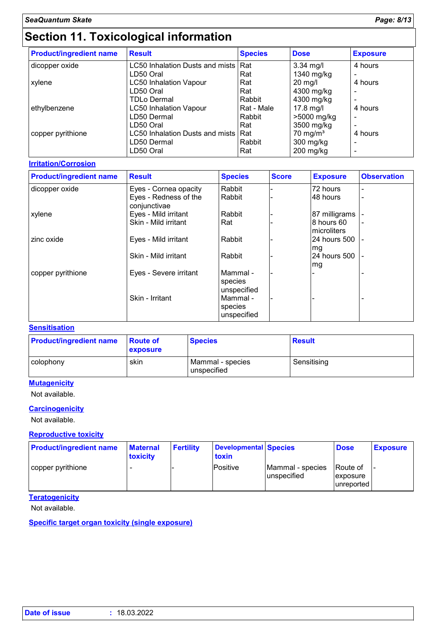# **Section 11. Toxicological information**

| <b>Product/ingredient name</b> | <b>Result</b>                       | <b>Species</b> | <b>Dose</b>         | <b>Exposure</b> |
|--------------------------------|-------------------------------------|----------------|---------------------|-----------------|
| dicopper oxide                 | LC50 Inhalation Dusts and mists Rat |                | $3.34$ mg/l         | 4 hours         |
|                                | LD50 Oral                           | Rat            | 1340 mg/kg          |                 |
| xylene                         | <b>LC50 Inhalation Vapour</b>       | Rat            | $20$ mg/l           | 4 hours         |
|                                | LD50 Oral                           | Rat            | 4300 mg/kg          |                 |
|                                | <b>TDLo Dermal</b>                  | Rabbit         | 4300 mg/kg          |                 |
| ethylbenzene                   | <b>LC50 Inhalation Vapour</b>       | Rat - Male     | $17.8$ mg/l         | 4 hours         |
|                                | LD50 Dermal                         | Rabbit         | >5000 mg/kg         | -               |
|                                | LD50 Oral                           | Rat            | 3500 mg/kg          | $\blacksquare$  |
| copper pyrithione              | LC50 Inhalation Dusts and mists Rat |                | $70 \text{ mg/m}^3$ | 4 hours         |
|                                | LD50 Dermal                         | Rabbit         | $300$ mg/kg         |                 |
|                                | LD50 Oral                           | Rat            | $200$ mg/kg         |                 |

#### **Irritation/Corrosion**

| <b>Product/ingredient name</b> | <b>Result</b>                         | <b>Species</b>                     | <b>Score</b> | <b>Exposure</b>           | <b>Observation</b> |
|--------------------------------|---------------------------------------|------------------------------------|--------------|---------------------------|--------------------|
| dicopper oxide                 | Eyes - Cornea opacity                 | Rabbit                             |              | 72 hours                  |                    |
|                                | Eyes - Redness of the<br>conjunctivae | Rabbit                             |              | 48 hours                  |                    |
| xylene                         | Eyes - Mild irritant                  | Rabbit                             |              | 87 milligrams             |                    |
|                                | Skin - Mild irritant                  | Rat                                |              | 8 hours 60<br>microliters |                    |
| zinc oxide                     | Eyes - Mild irritant                  | Rabbit                             |              | 24 hours 500<br>mg        |                    |
|                                | Skin - Mild irritant                  | Rabbit                             |              | 24 hours 500<br>mg        |                    |
| copper pyrithione              | Eyes - Severe irritant                | Mammal -<br>species<br>unspecified |              |                           |                    |
|                                | Skin - Irritant                       | Mammal -<br>species<br>unspecified |              |                           |                    |

#### **Sensitisation**

| <b>Product/ingredient name</b> | <b>Route of</b><br><b>exposure</b> | <b>Species</b>                  | <b>Result</b> |
|--------------------------------|------------------------------------|---------------------------------|---------------|
| colophony                      | skin                               | Mammal - species<br>unspecified | Sensitising   |

#### **Mutagenicity**

Not available.

#### **Carcinogenicity**

Not available.

#### **Reproductive toxicity**

| <b>Product/ingredient name</b> | <b>Maternal</b><br>toxicity | <b>Fertility</b> | Developmental Species<br>toxin |                                 | <b>Dose</b>                        | <b>Exposure</b> |
|--------------------------------|-----------------------------|------------------|--------------------------------|---------------------------------|------------------------------------|-----------------|
| copper pyrithione              |                             |                  | Positive                       | Mammal - species<br>unspecified | Route of<br>exposure<br>unreported |                 |

#### **Teratogenicity**

Not available.

**Specific target organ toxicity (single exposure)**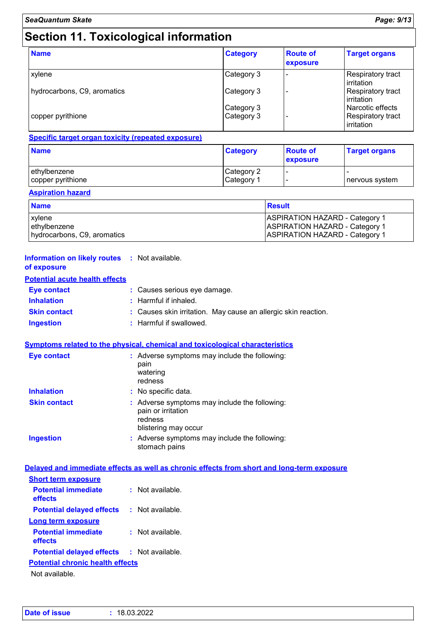# **Section 11. Toxicological information**

| <b>Name</b>                 | <b>Category</b> | <b>Route of</b><br>exposure | <b>Target organs</b>                   |
|-----------------------------|-----------------|-----------------------------|----------------------------------------|
| xylene                      | Category 3      |                             | Respiratory tract<br>irritation        |
| hydrocarbons, C9, aromatics | Category 3      |                             | Respiratory tract<br>irritation        |
|                             | Category 3      |                             | Narcotic effects                       |
| copper pyrithione           | Category 3      |                             | <b>Respiratory tract</b><br>irritation |

#### **Specific target organ toxicity (repeated exposure)**

| <b>Name</b>       | <b>Category</b> | <b>Route of</b><br><b>exposure</b> | <b>Target organs</b> |
|-------------------|-----------------|------------------------------------|----------------------|
| ethylbenzene      | Category 2      | . .                                | nervous system       |
| copper pyrithione | Category 1      | . .                                |                      |

#### **Aspiration hazard**

| <b>Name</b>                 | <b>Result</b>                         |
|-----------------------------|---------------------------------------|
| xylene                      | <b>ASPIRATION HAZARD - Category 1</b> |
| ethylbenzene                | <b>ASPIRATION HAZARD - Category 1</b> |
| hydrocarbons, C9, aromatics | <b>ASPIRATION HAZARD - Category 1</b> |

#### **Information on likely routes :** Not available. **of exposure**

#### **Potential acute health effects**

| <b>Eve contact</b>  | : Causes serious eye damage.                                   |
|---------------------|----------------------------------------------------------------|
| <b>Inhalation</b>   | : Harmful if inhaled.                                          |
| <b>Skin contact</b> | : Causes skin irritation. May cause an allergic skin reaction. |
| Ingestion           | : Harmful if swallowed.                                        |

#### **Symptoms related to the physical, chemical and toxicological characteristics**

| <b>Eye contact</b>  | : Adverse symptoms may include the following:<br>pain<br>watering<br>redness                           |
|---------------------|--------------------------------------------------------------------------------------------------------|
| <b>Inhalation</b>   | $:$ No specific data.                                                                                  |
| <b>Skin contact</b> | : Adverse symptoms may include the following:<br>pain or irritation<br>redness<br>blistering may occur |
| <b>Ingestion</b>    | : Adverse symptoms may include the following:<br>stomach pains                                         |

#### **Delayed and immediate effects as well as chronic effects from short and long-term exposure Short term exposure**

| <b>Potential immediate</b><br>effects   | $:$ Not available. |  |  |  |  |
|-----------------------------------------|--------------------|--|--|--|--|
| <b>Potential delayed effects</b>        | : Not available.   |  |  |  |  |
| Long term exposure                      |                    |  |  |  |  |
| <b>Potential immediate</b><br>effects   | $:$ Not available. |  |  |  |  |
| <b>Potential delayed effects</b>        | : Not available.   |  |  |  |  |
| <b>Potential chronic health effects</b> |                    |  |  |  |  |
|                                         |                    |  |  |  |  |

Not available.

| Date of issue | : 18.03.2022 |
|---------------|--------------|
|---------------|--------------|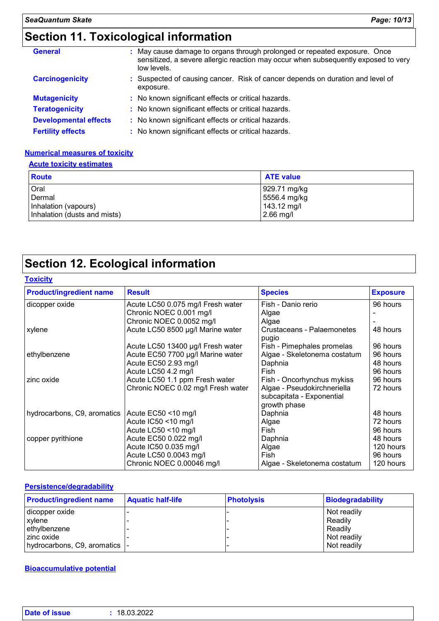# **Section 11. Toxicological information**

| May cause damage to organs through prolonged or repeated exposure. Once<br><b>General</b><br>sensitized, a severe allergic reaction may occur when subsequently exposed to very<br>low levels. |                                                                                             |  |
|------------------------------------------------------------------------------------------------------------------------------------------------------------------------------------------------|---------------------------------------------------------------------------------------------|--|
| <b>Carcinogenicity</b>                                                                                                                                                                         | : Suspected of causing cancer. Risk of cancer depends on duration and level of<br>exposure. |  |
| <b>Mutagenicity</b>                                                                                                                                                                            | : No known significant effects or critical hazards.                                         |  |
| <b>Teratogenicity</b>                                                                                                                                                                          | : No known significant effects or critical hazards.                                         |  |
| <b>Developmental effects</b>                                                                                                                                                                   | : No known significant effects or critical hazards.                                         |  |
| <b>Fertility effects</b>                                                                                                                                                                       | : No known significant effects or critical hazards.                                         |  |

#### **Numerical measures of toxicity**

#### **Acute toxicity estimates**

| <b>Route</b>                 | <b>ATE value</b> |
|------------------------------|------------------|
| Oral                         | 929.71 mg/kg     |
| Dermal                       | 5556.4 mg/kg     |
| Inhalation (vapours)         | 143.12 mg/l      |
| Inhalation (dusts and mists) | $2.66$ mg/l      |

# **Section 12. Ecological information**

#### **Toxicity**

| <b>Product/ingredient name</b> | <b>Result</b>                      | <b>Species</b>                      | <b>Exposure</b> |
|--------------------------------|------------------------------------|-------------------------------------|-----------------|
| dicopper oxide                 | Acute LC50 0.075 mg/l Fresh water  | Fish - Danio rerio                  | 96 hours        |
|                                | Chronic NOEC 0.001 mg/l            | Algae                               |                 |
|                                | Chronic NOEC 0.0052 mg/l           | Algae                               |                 |
| xylene                         | Acute LC50 8500 µg/l Marine water  | Crustaceans - Palaemonetes<br>pugio | 48 hours        |
|                                | Acute LC50 13400 µg/l Fresh water  | Fish - Pimephales promelas          | 96 hours        |
| ethylbenzene                   | Acute EC50 7700 µg/l Marine water  | Algae - Skeletonema costatum        | 96 hours        |
|                                | Acute EC50 2.93 mg/l               | Daphnia                             | 48 hours        |
|                                | Acute LC50 4.2 mg/l                | Fish                                | 96 hours        |
| zinc oxide                     | Acute LC50 1.1 ppm Fresh water     | Fish - Oncorhynchus mykiss          | 96 hours        |
|                                | Chronic NOEC 0.02 mg/l Fresh water | Algae - Pseudokirchneriella         | 72 hours        |
|                                |                                    | subcapitata - Exponential           |                 |
|                                |                                    | growth phase                        |                 |
| hydrocarbons, C9, aromatics    | Acute EC50 <10 mg/l                | Daphnia                             | 48 hours        |
|                                | Acute IC50 <10 mg/l                | Algae                               | 72 hours        |
|                                | Acute LC50 <10 mg/l                | Fish                                | 96 hours        |
| copper pyrithione              | Acute EC50 0.022 mg/l              | Daphnia                             | 48 hours        |
|                                | Acute IC50 0.035 mg/l              | Algae                               | 120 hours       |
|                                | Acute LC50 0.0043 mg/l             | Fish                                | 96 hours        |
|                                | Chronic NOEC 0.00046 mg/l          | Algae - Skeletonema costatum        | 120 hours       |

#### **Persistence/degradability**

| <b>Product/ingredient name</b> | <b>Aquatic half-life</b> | <b>Photolysis</b> | Biodegradability |
|--------------------------------|--------------------------|-------------------|------------------|
| dicopper oxide                 |                          |                   | Not readily      |
| xylene                         |                          |                   | Readily          |
| ethylbenzene                   |                          |                   | Readily          |
| zinc oxide                     |                          |                   | Not readily      |
| hydrocarbons, C9, aromatics  - |                          |                   | Not readily      |

#### **Bioaccumulative potential**

| <b>Date of issue</b> | 18.03.2022 |
|----------------------|------------|
|                      |            |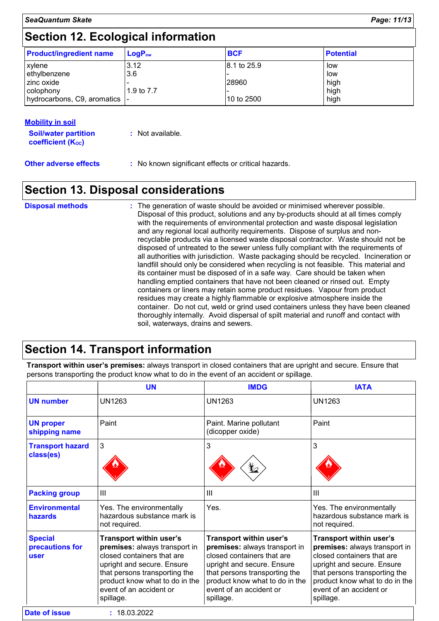# **Section 12. Ecological information**

| <b>Product/ingredient name</b> | $\mathsf{LogP}_\mathsf{ow}$ | <b>BCF</b>  | <b>Potential</b> |
|--------------------------------|-----------------------------|-------------|------------------|
| xylene                         | 3.12                        | 8.1 to 25.9 | low              |
| ethylbenzene                   | 3.6                         |             | low              |
| I zinc oxide                   |                             | 28960       | high             |
| colophony                      | 1.9 to 7.7                  |             | high             |
| hydrocarbons, C9, aromatics    |                             | 10 to 2500  | high             |

#### **Mobility in soil**

**Soil/water partition coefficient (KOC)**

**Other adverse effects** : No known significant effects or critical hazards.

### **Section 13. Disposal considerations**

| <b>Disposal methods</b> | : The generation of waste should be avoided or minimised wherever possible.<br>Disposal of this product, solutions and any by-products should at all times comply<br>with the requirements of environmental protection and waste disposal legislation<br>and any regional local authority requirements. Dispose of surplus and non-<br>recyclable products via a licensed waste disposal contractor. Waste should not be<br>disposed of untreated to the sewer unless fully compliant with the requirements of<br>all authorities with jurisdiction. Waste packaging should be recycled. Incineration or<br>landfill should only be considered when recycling is not feasible. This material and<br>its container must be disposed of in a safe way. Care should be taken when<br>handling emptied containers that have not been cleaned or rinsed out. Empty<br>containers or liners may retain some product residues. Vapour from product<br>residues may create a highly flammable or explosive atmosphere inside the<br>container. Do not cut, weld or grind used containers unless they have been cleaned<br>thoroughly internally. Avoid dispersal of spilt material and runoff and contact with |
|-------------------------|--------------------------------------------------------------------------------------------------------------------------------------------------------------------------------------------------------------------------------------------------------------------------------------------------------------------------------------------------------------------------------------------------------------------------------------------------------------------------------------------------------------------------------------------------------------------------------------------------------------------------------------------------------------------------------------------------------------------------------------------------------------------------------------------------------------------------------------------------------------------------------------------------------------------------------------------------------------------------------------------------------------------------------------------------------------------------------------------------------------------------------------------------------------------------------------------------------|
|                         | soil, waterways, drains and sewers.                                                                                                                                                                                                                                                                                                                                                                                                                                                                                                                                                                                                                                                                                                                                                                                                                                                                                                                                                                                                                                                                                                                                                                    |

### **Section 14. Transport information**

**Transport within user's premises:** always transport in closed containers that are upright and secure. Ensure that persons transporting the product know what to do in the event of an accident or spillage.

|                                           | <b>UN</b>                                                                                                                                                                                                                       | <b>IMDG</b>                                                                                                                                                                                                                     | <b>IATA</b>                                                                                                                                                                                                                     |
|-------------------------------------------|---------------------------------------------------------------------------------------------------------------------------------------------------------------------------------------------------------------------------------|---------------------------------------------------------------------------------------------------------------------------------------------------------------------------------------------------------------------------------|---------------------------------------------------------------------------------------------------------------------------------------------------------------------------------------------------------------------------------|
| <b>UN number</b>                          | <b>UN1263</b>                                                                                                                                                                                                                   | UN1263                                                                                                                                                                                                                          | UN1263                                                                                                                                                                                                                          |
| <b>UN proper</b><br>shipping name         | Paint                                                                                                                                                                                                                           | Paint. Marine pollutant<br>(dicopper oxide)                                                                                                                                                                                     | Paint                                                                                                                                                                                                                           |
| <b>Transport hazard</b><br>class(es)      | 3                                                                                                                                                                                                                               | 3<br>⋭2                                                                                                                                                                                                                         | 3                                                                                                                                                                                                                               |
| <b>Packing group</b>                      | $\mathbf{III}$                                                                                                                                                                                                                  | Ш                                                                                                                                                                                                                               | Ш                                                                                                                                                                                                                               |
| <b>Environmental</b><br>hazards           | Yes. The environmentally<br>hazardous substance mark is<br>not required.                                                                                                                                                        | Yes.                                                                                                                                                                                                                            | Yes. The environmentally<br>hazardous substance mark is<br>not required.                                                                                                                                                        |
| <b>Special</b><br>precautions for<br>user | Transport within user's<br>premises: always transport in<br>closed containers that are<br>upright and secure. Ensure<br>that persons transporting the<br>product know what to do in the<br>event of an accident or<br>spillage. | Transport within user's<br>premises: always transport in<br>closed containers that are<br>upright and secure. Ensure<br>that persons transporting the<br>product know what to do in the<br>event of an accident or<br>spillage. | Transport within user's<br>premises: always transport in<br>closed containers that are<br>upright and secure. Ensure<br>that persons transporting the<br>product know what to do in the<br>event of an accident or<br>spillage. |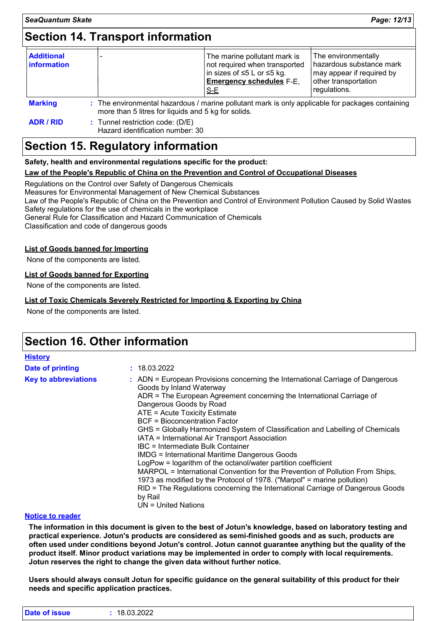### **Section 14. Transport information**

| <b>Additional</b><br><b>information</b>                                                                                                                                   |  |  | The marine pollutant mark is<br>not required when transported<br> in sizes of ≤5 L or ≤5 kg.<br><b>Emergency schedules F-E,</b><br>$S-E$ | The environmentally<br>hazardous substance mark<br>may appear if required by<br>other transportation<br>regulations. |
|---------------------------------------------------------------------------------------------------------------------------------------------------------------------------|--|--|------------------------------------------------------------------------------------------------------------------------------------------|----------------------------------------------------------------------------------------------------------------------|
| <b>Marking</b><br>: The environmental hazardous / marine pollutant mark is only applicable for packages containing<br>more than 5 litres for liquids and 5 kg for solids. |  |  |                                                                                                                                          |                                                                                                                      |

**ADR / RID :** Tunnel restriction code: (D/E) Hazard identification number: 30

### **Section 15. Regulatory information**

**Safety, health and environmental regulations specific for the product:**

#### **Law of the People's Republic of China on the Prevention and Control of Occupational Diseases**

Regulations on the Control over Safety of Dangerous Chemicals Measures for Environmental Management of New Chemical Substances Law of the People's Republic of China on the Prevention and Control of Environment Pollution Caused by Solid Wastes Safety regulations for the use of chemicals in the workplace General Rule for Classification and Hazard Communication of Chemicals

Classification and code of dangerous goods

#### **List of Goods banned for Importing**

None of the components are listed.

#### **List of Goods banned for Exporting**

None of the components are listed.

#### **List of Toxic Chemicals Severely Restricted for Importing & Exporting by China**

None of the components are listed.

### **Section 16. Other information**

| <b>History</b>              |                                                                                                                                                                                                                                                                                                                                                                                                                                                                                                                                                                                                                                                                                                                                                                                                                                                                            |
|-----------------------------|----------------------------------------------------------------------------------------------------------------------------------------------------------------------------------------------------------------------------------------------------------------------------------------------------------------------------------------------------------------------------------------------------------------------------------------------------------------------------------------------------------------------------------------------------------------------------------------------------------------------------------------------------------------------------------------------------------------------------------------------------------------------------------------------------------------------------------------------------------------------------|
| Date of printing            | : 18.03.2022                                                                                                                                                                                                                                                                                                                                                                                                                                                                                                                                                                                                                                                                                                                                                                                                                                                               |
| <b>Key to abbreviations</b> | : ADN = European Provisions concerning the International Carriage of Dangerous<br>Goods by Inland Waterway<br>ADR = The European Agreement concerning the International Carriage of<br>Dangerous Goods by Road<br>ATE = Acute Toxicity Estimate<br><b>BCF</b> = Bioconcentration Factor<br>GHS = Globally Harmonized System of Classification and Labelling of Chemicals<br>IATA = International Air Transport Association<br>IBC = Intermediate Bulk Container<br><b>IMDG = International Maritime Dangerous Goods</b><br>LogPow = logarithm of the octanol/water partition coefficient<br>MARPOL = International Convention for the Prevention of Pollution From Ships,<br>1973 as modified by the Protocol of 1978. ("Marpol" = marine pollution)<br>RID = The Regulations concerning the International Carriage of Dangerous Goods<br>by Rail<br>$UN = United Nations$ |

#### **Notice to reader**

**The information in this document is given to the best of Jotun's knowledge, based on laboratory testing and practical experience. Jotun's products are considered as semi-finished goods and as such, products are often used under conditions beyond Jotun's control. Jotun cannot guarantee anything but the quality of the product itself. Minor product variations may be implemented in order to comply with local requirements. Jotun reserves the right to change the given data without further notice.**

**Users should always consult Jotun for specific guidance on the general suitability of this product for their needs and specific application practices.**

| <b>Date</b><br><b>sue</b><br>. | 18.03.2022 |
|--------------------------------|------------|
|                                |            |